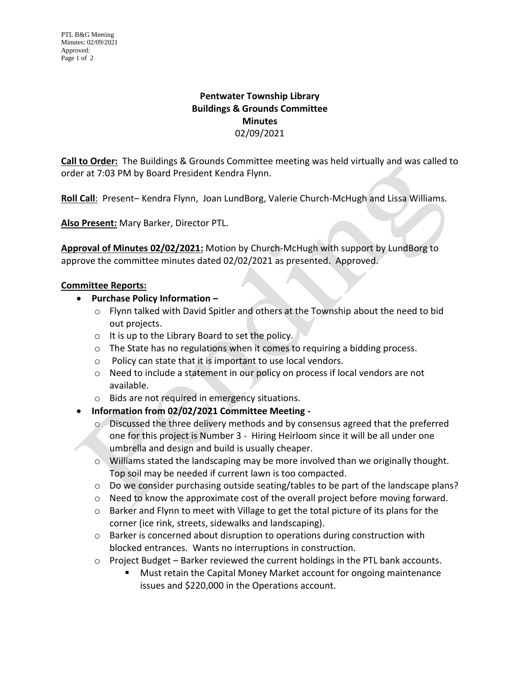## **Pentwater Township Library Buildings & Grounds Committee Minutes** 02/09/2021

**Call to Order:** The Buildings & Grounds Committee meeting was held virtually and was called to order at 7:03 PM by Board President Kendra Flynn.

**Roll Call**: Present– Kendra Flynn, Joan LundBorg, Valerie Church-McHugh and Lissa Williams.

**Also Present:** Mary Barker, Director PTL.

**Approval of Minutes 02/02/2021:** Motion by Church-McHugh with support by LundBorg to approve the committee minutes dated 02/02/2021 as presented. Approved.

## **Committee Reports:**

- **Purchase Policy Information –**
	- o Flynn talked with David Spitler and others at the Township about the need to bid out projects.
	- o It is up to the Library Board to set the policy.
	- o The State has no regulations when it comes to requiring a bidding process.
	- o Policy can state that it is important to use local vendors.
	- o Need to include a statement in our policy on process if local vendors are not available.
	- o Bids are not required in emergency situations.
- **Information from 02/02/2021 Committee Meeting** 
	- o Discussed the three delivery methods and by consensus agreed that the preferred one for this project is Number 3 - Hiring Heirloom since it will be all under one umbrella and design and build is usually cheaper.
	- o Williams stated the landscaping may be more involved than we originally thought. Top soil may be needed if current lawn is too compacted.
	- o Do we consider purchasing outside seating/tables to be part of the landscape plans?
	- $\circ$  Need to know the approximate cost of the overall project before moving forward.
	- o Barker and Flynn to meet with Village to get the total picture of its plans for the corner (ice rink, streets, sidewalks and landscaping).
	- o Barker is concerned about disruption to operations during construction with blocked entrances. Wants no interruptions in construction.
	- o Project Budget Barker reviewed the current holdings in the PTL bank accounts.
		- Must retain the Capital Money Market account for ongoing maintenance issues and \$220,000 in the Operations account.